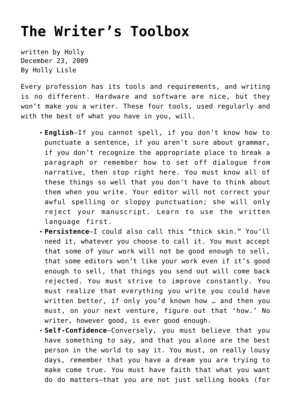## **[The Writer's Toolbox](https://hollylisle.com/the-writers-toolbox/)**

written by Holly December 23, 2009 [By Holly Lisle](https://hollylisle.com)

Every profession has its tools and requirements, and writing is no different. Hardware and software are nice, but they won't make you a writer. These four tools, used regularly and with the best of what you have in you, will.

- **English**—If you cannot spell, if you don't know how to punctuate a sentence, if you aren't sure about grammar, if you don't recognize the appropriate place to break a paragraph or remember how to set off dialogue from narrative, then stop right here. You must know all of these things so well that you don't have to think about them when you write. Your editor will not correct your awful spelling or sloppy punctuation; she will only reject your manuscript. Learn to use the written language first.
- **Persistence**—I could also call this "thick skin." You'll need it, whatever you choose to call it. You must accept that some of your work will not be good enough to sell, that some editors won't like your work even if it's good enough to sell, that things you send out will come back rejected. You must strive to improve constantly. You must realize that everything you write you could have written better, if only you'd known how … and then you must, on your next venture, figure out that 'how.' No writer, however good, is ever good enough.
- **Self-Confidence**—Conversely, you must believe that you have something to say, and that you alone are the best person in the world to say it. You must, on really lousy days, remember that you have a dream you are trying to make come true. You must have faith that what you want do do matters—that you are not just selling books (for